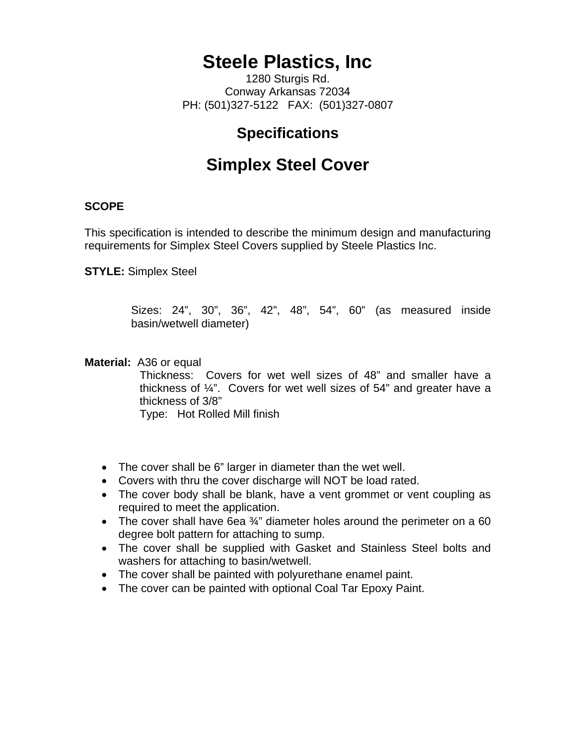# **Steele Plastics, Inc**

1280 Sturgis Rd. Conway Arkansas 72034 PH: (501)327-5122 FAX: (501)327-0807

### **Specifications**

## **Simplex Steel Cover**

### **SCOPE**

This specification is intended to describe the minimum design and manufacturing requirements for Simplex Steel Covers supplied by Steele Plastics Inc.

**STYLE:** Simplex Steel

Sizes: 24", 30", 36", 42", 48", 54", 60" (as measured inside basin/wetwell diameter)

**Material:** A36 or equal

Thickness: Covers for wet well sizes of 48" and smaller have a thickness of  $\frac{1}{4}$ ". Covers for wet well sizes of 54" and greater have a thickness of 3/8"

Type: Hot Rolled Mill finish

- The cover shall be 6" larger in diameter than the wet well.
- Covers with thru the cover discharge will NOT be load rated.
- The cover body shall be blank, have a vent grommet or vent coupling as required to meet the application.
- The cover shall have 6ea 3/4" diameter holes around the perimeter on a 60 degree bolt pattern for attaching to sump.
- The cover shall be supplied with Gasket and Stainless Steel bolts and washers for attaching to basin/wetwell.
- The cover shall be painted with polyurethane enamel paint.
- The cover can be painted with optional Coal Tar Epoxy Paint.